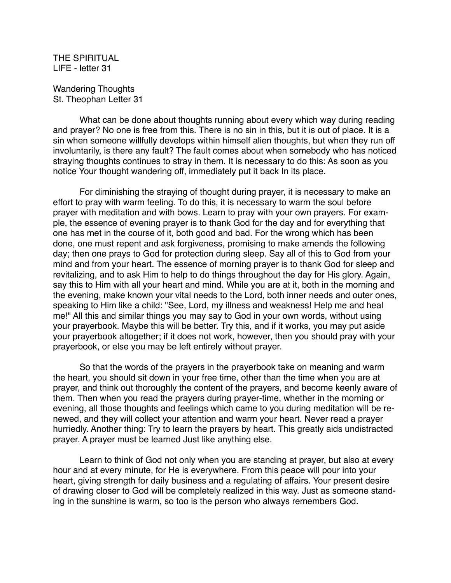THE SPIRITUAL LIFE - letter 31

Wandering Thoughts St. Theophan Letter 31

What can be done about thoughts running about every which way during reading and prayer? No one is free from this. There is no sin in this, but it is out of place. It is a sin when someone willfully develops within himself alien thoughts, but when they run off involuntarily, is there any fault? The fault comes about when somebody who has noticed straying thoughts continues to stray in them. It is necessary to do this: As soon as you notice Your thought wandering off, immediately put it back In its place.

For diminishing the straying of thought during prayer, it is necessary to make an effort to pray with warm feeling. To do this, it is necessary to warm the soul before prayer with meditation and with bows. Learn to pray with your own prayers. For example, the essence of evening prayer is to thank God for the day and for everything that one has met in the course of it, both good and bad. For the wrong which has been done, one must repent and ask forgiveness, promising to make amends the following day; then one prays to God for protection during sleep. Say all of this to God from your mind and from your heart. The essence of morning prayer is to thank God for sleep and revitalizing, and to ask Him to help to do things throughout the day for His glory. Again, say this to Him with all your heart and mind. While you are at it, both in the morning and the evening, make known your vital needs to the Lord, both inner needs and outer ones, speaking to Him like a child: "See, Lord, my illness and weakness! Help me and heal me!" All this and similar things you may say to God in your own words, without using your prayerbook. Maybe this will be better. Try this, and if it works, you may put aside your prayerbook altogether; if it does not work, however, then you should pray with your prayerbook, or else you may be left entirely without prayer.

So that the words of the prayers in the prayerbook take on meaning and warm the heart, you should sit down in your free time, other than the time when you are at prayer, and think out thoroughly the content of the prayers, and become keenly aware of them. Then when you read the prayers during prayer-time, whether in the morning or evening, all those thoughts and feelings which came to you during meditation will be renewed, and they will collect your attention and warm your heart. Never read a prayer hurriedly. Another thing: Try to learn the prayers by heart. This greatly aids undistracted prayer. A prayer must be learned Just like anything else.

Learn to think of God not only when you are standing at prayer, but also at every hour and at every minute, for He is everywhere. From this peace will pour into your heart, giving strength for daily business and a regulating of affairs. Your present desire of drawing closer to God will be completely realized in this way. Just as someone standing in the sunshine is warm, so too is the person who always remembers God.